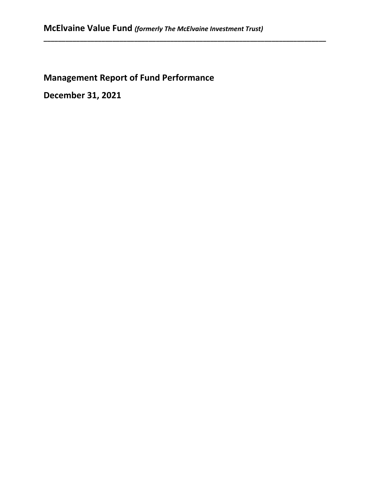**\_\_\_\_\_\_\_\_\_\_\_\_\_\_\_\_\_\_\_\_\_\_\_\_\_\_\_\_\_\_\_\_\_\_\_\_\_\_\_\_\_\_\_\_\_\_\_\_\_\_\_\_\_\_\_\_\_\_\_\_\_\_\_\_\_\_\_\_\_\_\_\_\_\_\_\_\_\_**

# **Management Report of Fund Performance**

**December 31, 2021**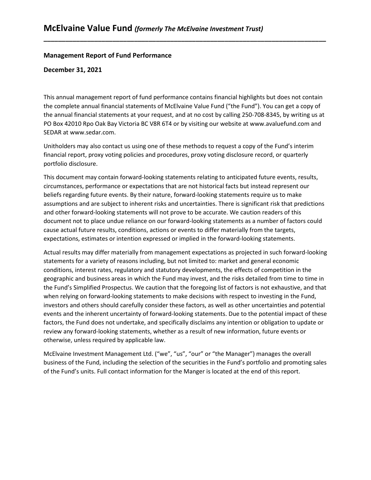#### **Management Report of Fund Performance**

#### **December 31, 2021**

This annual management report of fund performance contains financial highlights but does not contain the complete annual financial statements of McElvaine Value Fund ("the Fund"). You can get a copy of the annual financial statements at your request, and at no cost by calling 250-708-8345, by writing us at PO Box 42010 Rpo Oak Bay Victoria BC V8R 6T4 or by visiting our website a[t www.avaluefund.com](http://www.avaluefund.com/) and SEDAR at [www.sedar.com.](http://www.sedar.com/)

**\_\_\_\_\_\_\_\_\_\_\_\_\_\_\_\_\_\_\_\_\_\_\_\_\_\_\_\_\_\_\_\_\_\_\_\_\_\_\_\_\_\_\_\_\_\_\_\_\_\_\_\_\_\_\_\_\_\_\_\_\_\_\_\_\_\_\_\_\_\_\_\_\_\_\_\_\_\_**

Unitholders may also contact us using one of these methods to request a copy of the Fund's interim financial report, proxy voting policies and procedures, proxy voting disclosure record, or quarterly portfolio disclosure.

This document may contain forward-looking statements relating to anticipated future events, results, circumstances, performance or expectations that are not historical facts but instead represent our beliefs regarding future events. By their nature, forward-looking statements require us to make assumptions and are subject to inherent risks and uncertainties. There is significant risk that predictions and other forward-looking statements will not prove to be accurate. We caution readers of this document not to place undue reliance on our forward-looking statements as a number of factors could cause actual future results, conditions, actions or events to differ materially from the targets, expectations, estimates or intention expressed or implied in the forward-looking statements.

Actual results may differ materially from management expectations as projected in such forward-looking statements for a variety of reasons including, but not limited to: market and general economic conditions, interest rates, regulatory and statutory developments, the effects of competition in the geographic and business areas in which the Fund may invest, and the risks detailed from time to time in the Fund's Simplified Prospectus. We caution that the foregoing list of factors is not exhaustive, and that when relying on forward-looking statements to make decisions with respect to investing in the Fund, investors and others should carefully consider these factors, as well as other uncertainties and potential events and the inherent uncertainty of forward-looking statements. Due to the potential impact of these factors, the Fund does not undertake, and specifically disclaims any intention or obligation to update or review any forward-looking statements, whether as a result of new information, future events or otherwise, unless required by applicable law.

McElvaine Investment Management Ltd. ("we", "us", "our" or "the Manager") manages the overall business of the Fund, including the selection of the securities in the Fund's portfolio and promoting sales of the Fund's units. Full contact information for the Manger is located at the end of this report.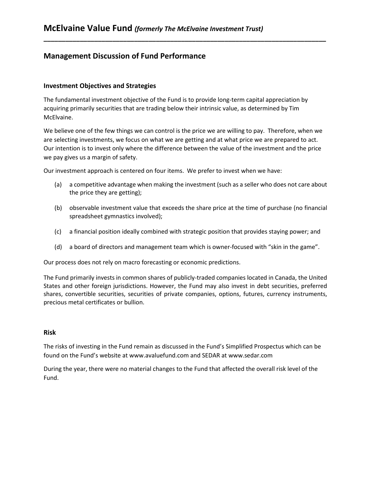# **Management Discussion of Fund Performance**

## **Investment Objectives and Strategies**

The fundamental investment objective of the Fund is to provide long-term capital appreciation by acquiring primarily securities that are trading below their intrinsic value, as determined by Tim McElvaine.

**\_\_\_\_\_\_\_\_\_\_\_\_\_\_\_\_\_\_\_\_\_\_\_\_\_\_\_\_\_\_\_\_\_\_\_\_\_\_\_\_\_\_\_\_\_\_\_\_\_\_\_\_\_\_\_\_\_\_\_\_\_\_\_\_\_\_\_\_\_\_\_\_\_\_\_\_\_\_**

We believe one of the few things we can control is the price we are willing to pay. Therefore, when we are selecting investments, we focus on what we are getting and at what price we are prepared to act. Our intention is to invest only where the difference between the value of the investment and the price we pay gives us a margin of safety.

Our investment approach is centered on four items. We prefer to invest when we have:

- (a) a competitive advantage when making the investment (such as a seller who does not care about the price they are getting);
- (b) observable investment value that exceeds the share price at the time of purchase (no financial spreadsheet gymnastics involved);
- (c) a financial position ideally combined with strategic position that provides staying power; and
- (d) a board of directors and management team which is owner-focused with "skin in the game".

Our process does not rely on macro forecasting or economic predictions.

The Fund primarily invests in common shares of publicly-traded companies located in Canada, the United States and other foreign jurisdictions. However, the Fund may also invest in debt securities, preferred shares, convertible securities, securities of private companies, options, futures, currency instruments, precious metal certificates or bullion.

#### **Risk**

The risks of investing in the Fund remain as discussed in the Fund's Simplified Prospectus which can be found on the Fund's website a[t www.avaluefund.com](http://www.avaluefund.com/) and SEDAR at [www.sedar.com](http://www.sedar.com/)

During the year, there were no material changes to the Fund that affected the overall risk level of the Fund.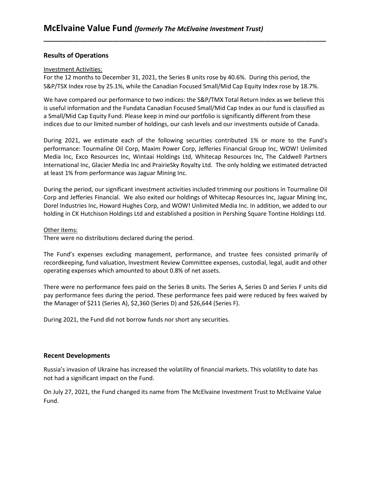## **Results of Operations**

#### Investment Activities:

For the 12 months to December 31, 2021, the Series B units rose by 40.6%. During this period, the S&P/TSX Index rose by 25.1%, while the Canadian Focused Small/Mid Cap Equity Index rose by 18.7%.

**\_\_\_\_\_\_\_\_\_\_\_\_\_\_\_\_\_\_\_\_\_\_\_\_\_\_\_\_\_\_\_\_\_\_\_\_\_\_\_\_\_\_\_\_\_\_\_\_\_\_\_\_\_\_\_\_\_\_\_\_\_\_\_\_\_\_\_\_\_\_\_\_\_\_\_\_\_\_**

We have compared our performance to two indices: the S&P/TMX Total Return Index as we believe this is useful information and the Fundata Canadian Focused Small/Mid Cap Index as our fund is classified as a Small/Mid Cap Equity Fund. Please keep in mind our portfolio is significantly different from these indices due to our limited number of holdings, our cash levels and our investments outside of Canada.

During 2021, we estimate each of the following securities contributed 1% or more to the Fund's performance: Tourmaline Oil Corp, Maxim Power Corp, Jefferies Financial Group Inc, WOW! Unlimited Media Inc, Exco Resources Inc, Wintaai Holdings Ltd, Whitecap Resources Inc, The Caldwell Partners International Inc, Glacier Media Inc and PrairieSky Royalty Ltd. The only holding we estimated detracted at least 1% from performance was Jaguar Mining Inc.

During the period, our significant investment activities included trimming our positions in Tourmaline Oil Corp and Jefferies Financial. We also exited our holdings of Whitecap Resources Inc, Jaguar Mining Inc, Dorel Industries Inc, Howard Hughes Corp, and WOW! Unlimited Media Inc. In addition, we added to our holding in CK Hutchison Holdings Ltd and established a position in Pershing Square Tontine Holdings Ltd.

#### Other items:

There were no distributions declared during the period.

The Fund's expenses excluding management, performance, and trustee fees consisted primarily of recordkeeping, fund valuation, Investment Review Committee expenses, custodial, legal, audit and other operating expenses which amounted to about 0.8% of net assets.

There were no performance fees paid on the Series B units. The Series A, Series D and Series F units did pay performance fees during the period. These performance fees paid were reduced by fees waived by the Manager of \$211 (Series A), \$2,360 (Series D) and \$26,644 (Series F).

During 2021, the Fund did not borrow funds nor short any securities.

#### **Recent Developments**

Russia's invasion of Ukraine has increased the volatility of financial markets. This volatility to date has not had a significant impact on the Fund.

On July 27, 2021, the Fund changed its name from The McElvaine Investment Trust to McElvaine Value Fund.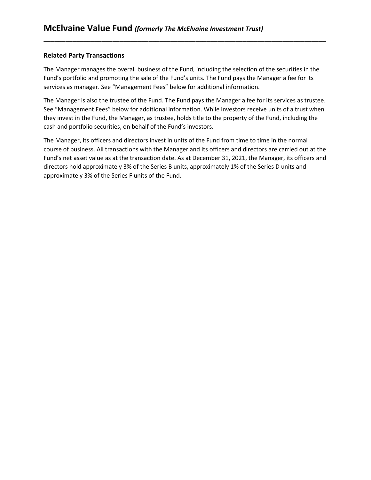# **Related Party Transactions**

The Manager manages the overall business of the Fund, including the selection of the securities in the Fund's portfolio and promoting the sale of the Fund's units. The Fund pays the Manager a fee for its services as manager. See "Management Fees" below for additional information.

**\_\_\_\_\_\_\_\_\_\_\_\_\_\_\_\_\_\_\_\_\_\_\_\_\_\_\_\_\_\_\_\_\_\_\_\_\_\_\_\_\_\_\_\_\_\_\_\_\_\_\_\_\_\_\_\_\_\_\_\_\_\_\_\_\_\_\_\_\_\_\_\_\_\_\_\_\_\_**

The Manager is also the trustee of the Fund. The Fund pays the Manager a fee for its services as trustee. See "Management Fees" below for additional information. While investors receive units of a trust when they invest in the Fund, the Manager, as trustee, holds title to the property of the Fund, including the cash and portfolio securities, on behalf of the Fund's investors.

The Manager, its officers and directors invest in units of the Fund from time to time in the normal course of business. All transactions with the Manager and its officers and directors are carried out at the Fund's net asset value as at the transaction date. As at December 31, 2021, the Manager, its officers and directors hold approximately 3% of the Series B units, approximately 1% of the Series D units and approximately 3% of the Series F units of the Fund.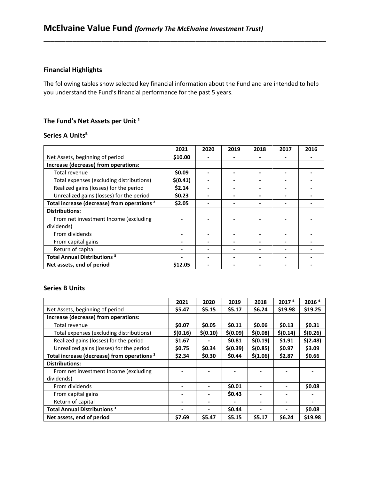# **Financial Highlights**

The following tables show selected key financial information about the Fund and are intended to help you understand the Fund's financial performance for the past 5 years.

**\_\_\_\_\_\_\_\_\_\_\_\_\_\_\_\_\_\_\_\_\_\_\_\_\_\_\_\_\_\_\_\_\_\_\_\_\_\_\_\_\_\_\_\_\_\_\_\_\_\_\_\_\_\_\_\_\_\_\_\_\_\_\_\_\_\_\_\_\_\_\_\_\_\_\_\_\_\_**

# The Fund's Net Assets per Unit<sup>1</sup>

## **Series A Units⁵**

|                                                        | 2021     | 2020 | 2019 | 2018 | 2017 | 2016 |
|--------------------------------------------------------|----------|------|------|------|------|------|
| Net Assets, beginning of period                        | \$10.00  |      |      |      |      |      |
| Increase (decrease) from operations:                   |          |      |      |      |      |      |
| Total revenue                                          | \$0.09   |      |      |      |      |      |
| Total expenses (excluding distributions)               | \$(0.41) |      |      |      |      |      |
| Realized gains (losses) for the period                 | \$2.14   |      |      |      |      |      |
| Unrealized gains (losses) for the period               | \$0.23   |      |      |      |      |      |
| Total increase (decrease) from operations <sup>2</sup> | \$2.05   |      |      |      |      |      |
| <b>Distributions:</b>                                  |          |      |      |      |      |      |
| From net investment Income (excluding                  |          |      |      |      |      |      |
| dividends)                                             |          |      |      |      |      |      |
| From dividends                                         |          |      |      |      |      |      |
| From capital gains                                     |          |      |      |      |      |      |
| Return of capital                                      |          |      |      |      |      |      |
| <b>Total Annual Distributions<sup>3</sup></b>          |          |      |      |      |      |      |
| Net assets, end of period                              | \$12.05  |      |      |      |      |      |

## **Series B Units**

|                                                        | 2021     | 2020     | 2019     | 2018     | 2017 <sup>4</sup>        | 2016 <sup>4</sup> |
|--------------------------------------------------------|----------|----------|----------|----------|--------------------------|-------------------|
| Net Assets, beginning of period                        | \$5.47   | \$5.15   | \$5.17   | \$6.24   | \$19.98                  | \$19.25           |
| Increase (decrease) from operations:                   |          |          |          |          |                          |                   |
| Total revenue                                          | \$0.07   | \$0.05   | \$0.11   | \$0.06   | \$0.13                   | \$0.31            |
| Total expenses (excluding distributions)               | \$(0.16) | \$(0.10) | \$(0.09) | \$(0.08) | \$(0.14)                 | \$(0.26)          |
| Realized gains (losses) for the period                 | \$1.67   |          | \$0.81   | \$(0.19) | \$1.91                   | \$(2.48)          |
| Unrealized gains (losses) for the period               | \$0.75   | \$0.34   | \$(0.39) | \$(0.85) | \$0.97                   | \$3.09            |
| Total increase (decrease) from operations <sup>2</sup> | \$2.34   | \$0.30   | \$0.44   | \$(1.06) | \$2.87                   | \$0.66            |
| <b>Distributions:</b>                                  |          |          |          |          |                          |                   |
| From net investment Income (excluding                  |          |          |          |          |                          |                   |
| dividends)                                             |          |          |          |          |                          |                   |
| From dividends                                         |          |          | \$0.01   |          |                          | \$0.08            |
| From capital gains                                     |          |          | \$0.43   |          | $\blacksquare$           |                   |
| Return of capital                                      |          |          |          |          | $\overline{\phantom{a}}$ |                   |
| <b>Total Annual Distributions<sup>3</sup></b>          |          |          | \$0.44   |          |                          | \$0.08            |
| Net assets, end of period                              | \$7.69   | \$5.47   | \$5.15   | \$5.17   | \$6.24                   | \$19.98           |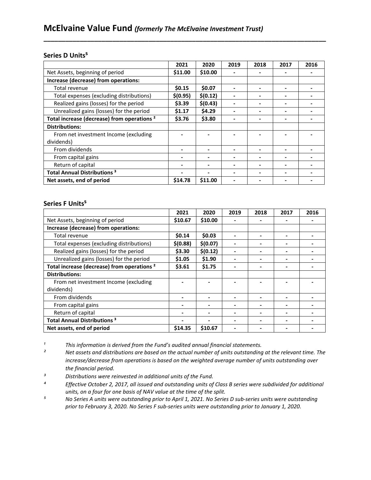#### **Series D Units⁵**

|                                                        | 2021     | 2020     | 2019 | 2018 | 2017                     | 2016 |
|--------------------------------------------------------|----------|----------|------|------|--------------------------|------|
| Net Assets, beginning of period                        | \$11.00  | \$10.00  |      |      |                          |      |
| Increase (decrease) from operations:                   |          |          |      |      |                          |      |
| Total revenue                                          | \$0.15   | \$0.07   |      |      | $\overline{\phantom{a}}$ |      |
| Total expenses (excluding distributions)               | \$(0.95) | \$(0.12) |      |      |                          |      |
| Realized gains (losses) for the period                 | \$3.39   | \$(0.43) |      |      |                          |      |
| Unrealized gains (losses) for the period               | \$1.17   | \$4.29   |      |      | $\blacksquare$           |      |
| Total increase (decrease) from operations <sup>2</sup> | \$3.76   | \$3.80   |      |      |                          |      |
| <b>Distributions:</b>                                  |          |          |      |      |                          |      |
| From net investment Income (excluding                  |          |          |      |      |                          |      |
| dividends)                                             |          |          |      |      |                          |      |
| From dividends                                         |          |          |      |      |                          |      |
| From capital gains                                     |          |          | -    |      | $\blacksquare$           |      |
| Return of capital                                      |          |          |      |      |                          |      |
| <b>Total Annual Distributions<sup>3</sup></b>          |          |          |      |      |                          |      |
| Net assets, end of period                              | \$14.78  | \$11.00  |      |      |                          |      |

**\_\_\_\_\_\_\_\_\_\_\_\_\_\_\_\_\_\_\_\_\_\_\_\_\_\_\_\_\_\_\_\_\_\_\_\_\_\_\_\_\_\_\_\_\_\_\_\_\_\_\_\_\_\_\_\_\_\_\_\_\_\_\_\_\_\_\_\_\_\_\_\_\_\_\_\_\_\_**

#### **Series F Units⁵**

|                                                        | 2021     | 2020     | 2019 | 2018 | 2017 | 2016 |
|--------------------------------------------------------|----------|----------|------|------|------|------|
| Net Assets, beginning of period                        | \$10.67  | \$10.00  |      |      |      |      |
| Increase (decrease) from operations:                   |          |          |      |      |      |      |
| Total revenue                                          | \$0.14   | \$0.03   |      |      |      |      |
| Total expenses (excluding distributions)               | \$(0.88) | \$(0.07) |      |      |      |      |
| Realized gains (losses) for the period                 | \$3.30   | \$(0.12) |      |      | -    |      |
| Unrealized gains (losses) for the period               | \$1.05   | \$1.90   |      |      |      |      |
| Total increase (decrease) from operations <sup>2</sup> | \$3.61   | \$1.75   |      |      |      |      |
| <b>Distributions:</b>                                  |          |          |      |      |      |      |
| From net investment Income (excluding                  |          |          |      |      |      |      |
| dividends)                                             |          |          |      |      |      |      |
| From dividends                                         |          |          |      |      |      |      |
| From capital gains                                     |          |          |      |      | -    |      |
| Return of capital                                      |          |          |      |      |      |      |
| <b>Total Annual Distributions<sup>3</sup></b>          |          |          |      |      |      |      |
| Net assets, end of period                              | \$14.35  | \$10.67  |      |      |      |      |

*i This information is derived from the Fund's audited annual financial statements.*<br><sup>2</sup> Met assets and distributions are based on the actual number of units outstanding

*² Net assets and distributions are based on the actual number of units outstanding at the relevant time. The increase/decrease from operations is based on the weighted average number of units outstanding over the financial period.*

*³ Distributions were reinvested in additional units of the Fund.*

*⁴ Effective October 2, 2017, all issued and outstanding units of Class B series were subdivided for additional units, on a four for one basis of NAV value at the time of the split.*

*⁵ No Series A units were outstanding prior to April 1, 2021. No Series D sub-series units were outstanding prior to February 3, 2020. No Series F sub-series units were outstanding prior to January 1, 2020.*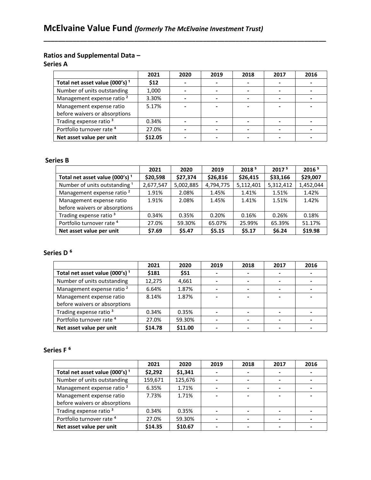# **Ratios and Supplemental Data –**

**Series A**

|                                            | 2021    | 2020 | 2019 | 2018 | 2017 | 2016 |
|--------------------------------------------|---------|------|------|------|------|------|
| Total net asset value (000's) <sup>1</sup> | \$12    |      |      |      |      |      |
| Number of units outstanding                | 1,000   |      |      |      |      |      |
| Management expense ratio <sup>2</sup>      | 3.30%   |      |      |      |      |      |
| Management expense ratio                   | 5.17%   |      |      |      |      |      |
| before waivers or absorptions              |         |      |      |      |      |      |
| Trading expense ratio <sup>3</sup>         | 0.34%   |      |      |      |      |      |
| Portfolio turnover rate <sup>4</sup>       | 27.0%   |      |      |      |      |      |
| Net asset value per unit                   | \$12.05 |      |      |      |      |      |

**\_\_\_\_\_\_\_\_\_\_\_\_\_\_\_\_\_\_\_\_\_\_\_\_\_\_\_\_\_\_\_\_\_\_\_\_\_\_\_\_\_\_\_\_\_\_\_\_\_\_\_\_\_\_\_\_\_\_\_\_\_\_\_\_\_\_\_\_\_\_\_\_\_\_\_\_\_\_**

## **Series B**

|                                            | 2021      | 2020      | 2019      | 2018 <sup>5</sup> | 2017 <sup>5</sup> | 2016 <sup>5</sup> |
|--------------------------------------------|-----------|-----------|-----------|-------------------|-------------------|-------------------|
| Total net asset value (000's) <sup>1</sup> | \$20,598  | \$27,374  | \$26,816  | \$26,415          | \$33,166          | \$29,007          |
| Number of units outstanding <sup>1</sup>   | 2,677,547 | 5,002,885 | 4,794,775 | 5,112,401         | 5,312,412         | 1,452,044         |
| Management expense ratio <sup>2</sup>      | 1.91%     | 2.08%     | 1.45%     | 1.41%             | 1.51%             | 1.42%             |
| Management expense ratio                   | 1.91%     | 2.08%     | 1.45%     | 1.41%             | 1.51%             | 1.42%             |
| before waivers or absorptions              |           |           |           |                   |                   |                   |
| Trading expense ratio <sup>3</sup>         | 0.34%     | 0.35%     | 0.20%     | 0.16%             | 0.26%             | 0.18%             |
| Portfolio turnover rate <sup>4</sup>       | 27.0%     | 59.30%    | 65.07%    | 25.99%            | 65.39%            | 51.17%            |
| Net asset value per unit                   | \$7.69    | \$5.47    | \$5.15    | \$5.17            | \$6.24            | \$19.98           |

# **Series D ⁶**

|                                            | 2021    | 2020    | 2019 | 2018 | 2017 | 2016 |
|--------------------------------------------|---------|---------|------|------|------|------|
| Total net asset value (000's) <sup>1</sup> | \$181   | \$51    |      |      |      |      |
| Number of units outstanding                | 12.275  | 4,661   |      |      |      |      |
| Management expense ratio <sup>2</sup>      | 6.64%   | 1.87%   |      |      |      |      |
| Management expense ratio                   | 8.14%   | 1.87%   |      |      |      |      |
| before waivers or absorptions              |         |         |      |      |      |      |
| Trading expense ratio <sup>3</sup>         | 0.34%   | 0.35%   |      |      |      |      |
| Portfolio turnover rate <sup>4</sup>       | 27.0%   | 59.30%  |      |      |      |      |
| Net asset value per unit                   | \$14.78 | \$11.00 |      |      |      |      |

# Series F<sup>6</sup>

|                                            | 2021    | 2020    | 2019 | 2018 | 2017 | 2016 |
|--------------------------------------------|---------|---------|------|------|------|------|
| Total net asset value (000's) <sup>1</sup> | \$2,292 | \$1,341 |      |      |      |      |
| Number of units outstanding                | 159,671 | 125,676 |      |      |      |      |
| Management expense ratio <sup>2</sup>      | 6.35%   | 1.71%   |      |      |      |      |
| Management expense ratio                   | 7.73%   | 1.71%   |      |      |      |      |
| before waivers or absorptions              |         |         |      |      |      |      |
| Trading expense ratio <sup>3</sup>         | 0.34%   | 0.35%   |      |      |      |      |
| Portfolio turnover rate <sup>4</sup>       | 27.0%   | 59.30%  |      |      |      |      |
| Net asset value per unit                   | \$14.35 | \$10.67 |      |      |      |      |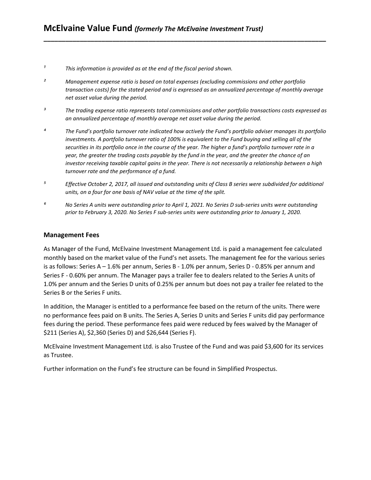- *¹ This information is provided as at the end of the fiscal period shown.*
- *² Management expense ratio is based on total expenses (excluding commissions and other portfolio transaction costs) for the stated period and is expressed as an annualized percentage of monthly average net asset value during the period.*

**\_\_\_\_\_\_\_\_\_\_\_\_\_\_\_\_\_\_\_\_\_\_\_\_\_\_\_\_\_\_\_\_\_\_\_\_\_\_\_\_\_\_\_\_\_\_\_\_\_\_\_\_\_\_\_\_\_\_\_\_\_\_\_\_\_\_\_\_\_\_\_\_\_\_\_\_\_\_**

- *³ The trading expense ratio represents total commissions and other portfolio transactions costs expressed as an annualized percentage of monthly average net asset value during the period.*
- *⁴ The Fund's portfolio turnover rate indicated how actively the Fund's portfolio adviser manages its portfolio investments. A portfolio turnover ratio of 100% is equivalent to the Fund buying and selling all of the securities in its portfolio once in the course of the year. The higher a fund's portfolio turnover rate in a year, the greater the trading costs payable by the fund in the year, and the greater the chance of an investor receiving taxable capital gains in the year. There is not necessarily a relationship between a high turnover rate and the performance of a fund.*
- *⁵ Effective October 2, 2017, all issued and outstanding units of Class B series were subdivided for additional units, on a four for one basis of NAV value at the time of the split.*
- *⁶ No Series A units were outstanding prior to April 1, 2021. No Series D sub-series units were outstanding prior to February 3, 2020. No Series F sub-series units were outstanding prior to January 1, 2020.*

## **Management Fees**

As Manager of the Fund, McElvaine Investment Management Ltd. is paid a management fee calculated monthly based on the market value of the Fund's net assets. The management fee for the various series is as follows: Series A – 1.6% per annum, Series B - 1.0% per annum, Series D - 0.85% per annum and Series F - 0.60% per annum. The Manager pays a trailer fee to dealers related to the Series A units of 1.0% per annum and the Series D units of 0.25% per annum but does not pay a trailer fee related to the Series B or the Series F units.

In addition, the Manager is entitled to a performance fee based on the return of the units. There were no performance fees paid on B units. The Series A, Series D units and Series F units did pay performance fees during the period. These performance fees paid were reduced by fees waived by the Manager of \$211 (Series A), \$2,360 (Series D) and \$26,644 (Series F).

McElvaine Investment Management Ltd. is also Trustee of the Fund and was paid \$3,600 for its services as Trustee.

Further information on the Fund's fee structure can be found in Simplified Prospectus.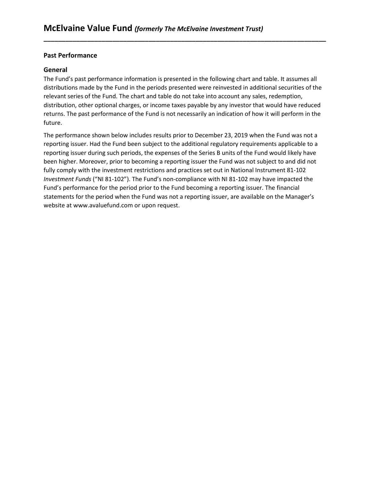# **Past Performance**

# **General**

The Fund's past performance information is presented in the following chart and table. It assumes all distributions made by the Fund in the periods presented were reinvested in additional securities of the relevant series of the Fund. The chart and table do not take into account any sales, redemption, distribution, other optional charges, or income taxes payable by any investor that would have reduced returns. The past performance of the Fund is not necessarily an indication of how it will perform in the future.

**\_\_\_\_\_\_\_\_\_\_\_\_\_\_\_\_\_\_\_\_\_\_\_\_\_\_\_\_\_\_\_\_\_\_\_\_\_\_\_\_\_\_\_\_\_\_\_\_\_\_\_\_\_\_\_\_\_\_\_\_\_\_\_\_\_\_\_\_\_\_\_\_\_\_\_\_\_\_**

The performance shown below includes results prior to December 23, 2019 when the Fund was not a reporting issuer. Had the Fund been subject to the additional regulatory requirements applicable to a reporting issuer during such periods, the expenses of the Series B units of the Fund would likely have been higher. Moreover, prior to becoming a reporting issuer the Fund was not subject to and did not fully comply with the investment restrictions and practices set out in National Instrument 81-102 *Investment Funds* ("NI 81-102"). The Fund's non-compliance with NI 81-102 may have impacted the Fund's performance for the period prior to the Fund becoming a reporting issuer. The financial statements for the period when the Fund was not a reporting issuer, are available on the Manager's website at [www.avaluefund.com](http://www.avaluefund.com/) or upon request.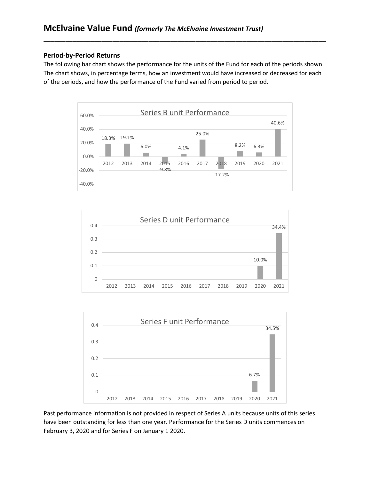## **Period-by-Period Returns**

The following bar chart shows the performance for the units of the Fund for each of the periods shown. The chart shows, in percentage terms, how an investment would have increased or decreased for each of the periods, and how the performance of the Fund varied from period to period.

**\_\_\_\_\_\_\_\_\_\_\_\_\_\_\_\_\_\_\_\_\_\_\_\_\_\_\_\_\_\_\_\_\_\_\_\_\_\_\_\_\_\_\_\_\_\_\_\_\_\_\_\_\_\_\_\_\_\_\_\_\_\_\_\_\_\_\_\_\_\_\_\_\_\_\_\_\_\_**







Past performance information is not provided in respect of Series A units because units of this series have been outstanding for less than one year. Performance for the Series D units commences on February 3, 2020 and for Series F on January 1 2020.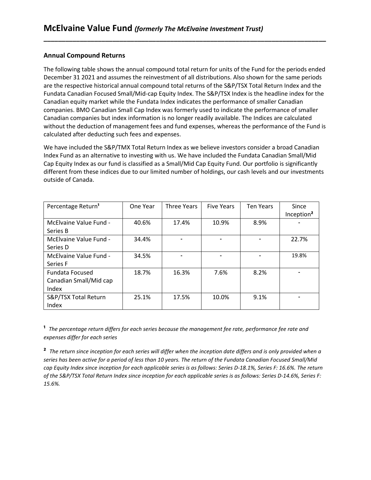# **Annual Compound Returns**

The following table shows the annual compound total return for units of the Fund for the periods ended December 31 2021 and assumes the reinvestment of all distributions. Also shown for the same periods are the respective historical annual compound total returns of the S&P/TSX Total Return Index and the Fundata Canadian Focused Small/Mid-cap Equity Index. The S&P/TSX Index is the headline index for the Canadian equity market while the Fundata Index indicates the performance of smaller Canadian companies. BMO Canadian Small Cap Index was formerly used to indicate the performance of smaller Canadian companies but index information is no longer readily available. The Indices are calculated without the deduction of management fees and fund expenses, whereas the performance of the Fund is calculated after deducting such fees and expenses.

**\_\_\_\_\_\_\_\_\_\_\_\_\_\_\_\_\_\_\_\_\_\_\_\_\_\_\_\_\_\_\_\_\_\_\_\_\_\_\_\_\_\_\_\_\_\_\_\_\_\_\_\_\_\_\_\_\_\_\_\_\_\_\_\_\_\_\_\_\_\_\_\_\_\_\_\_\_\_**

We have included the S&P/TMX Total Return Index as we believe investors consider a broad Canadian Index Fund as an alternative to investing with us. We have included the Fundata Canadian Small/Mid Cap Equity Index as our fund is classified as a Small/Mid Cap Equity Fund. Our portfolio is significantly different from these indices due to our limited number of holdings, our cash levels and our investments outside of Canada.

| Percentage Return <sup>1</sup>                            | One Year | <b>Three Years</b> | <b>Five Years</b> | <b>Ten Years</b> | Since<br>Inception <sup>2</sup> |
|-----------------------------------------------------------|----------|--------------------|-------------------|------------------|---------------------------------|
| McElvaine Value Fund -<br>Series B                        | 40.6%    | 17.4%              | 10.9%             | 8.9%             |                                 |
| McElvaine Value Fund -<br>Series D                        | 34.4%    |                    |                   |                  | 22.7%                           |
| McElvaine Value Fund -<br>Series F                        | 34.5%    |                    |                   |                  | 19.8%                           |
| <b>Fundata Focused</b><br>Canadian Small/Mid cap<br>Index | 18.7%    | 16.3%              | 7.6%              | 8.2%             |                                 |
| S&P/TSX Total Return<br>Index                             | 25.1%    | 17.5%              | 10.0%             | 9.1%             |                                 |

**¹** *The percentage return differs for each series because the management fee rate, performance fee rate and expenses differ for each series*

**²** *The return since inception for each series will differ when the inception date differs and is only provided when a series has been active for a period of less than 10 years. The return of the Fundata Canadian Focused Small/Mid cap Equity Index since inception for each applicable series is as follows: Series D-18.1%, Series F: 16.6%. The return of the S&P/TSX Total Return Index since inception for each applicable series is as follows: Series D-14.6%, Series F: 15.6%.*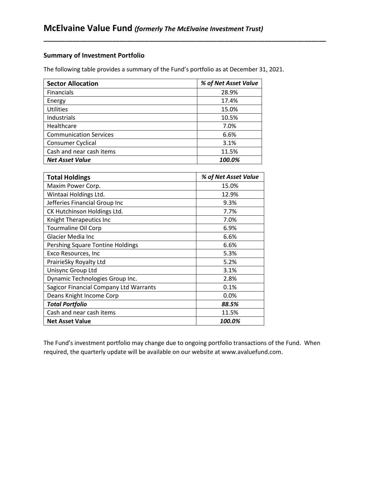# **Summary of Investment Portfolio**

The following table provides a summary of the Fund's portfolio as at December 31, 2021.

**\_\_\_\_\_\_\_\_\_\_\_\_\_\_\_\_\_\_\_\_\_\_\_\_\_\_\_\_\_\_\_\_\_\_\_\_\_\_\_\_\_\_\_\_\_\_\_\_\_\_\_\_\_\_\_\_\_\_\_\_\_\_\_\_\_\_\_\_\_\_\_\_\_\_\_\_\_\_**

| <b>Sector Allocation</b>      | % of Net Asset Value |
|-------------------------------|----------------------|
| <b>Financials</b>             | 28.9%                |
| Energy                        | 17.4%                |
| <b>Utilities</b>              | 15.0%                |
| Industrials                   | 10.5%                |
| Healthcare                    | 7.0%                 |
| <b>Communication Services</b> | 6.6%                 |
| Consumer Cyclical             | 3.1%                 |
| Cash and near cash items      | 11.5%                |
| <b>Net Asset Value</b>        | 100.0%               |

| <b>Total Holdings</b>                  | % of Net Asset Value |
|----------------------------------------|----------------------|
| Maxim Power Corp.                      | 15.0%                |
| Wintaai Holdings Ltd.                  | 12.9%                |
| Jefferies Financial Group Inc          | 9.3%                 |
| CK Hutchinson Holdings Ltd.            | 7.7%                 |
| Knight Therapeutics Inc                | 7.0%                 |
| <b>Tourmaline Oil Corp</b>             | 6.9%                 |
| Glacier Media Inc                      | 6.6%                 |
| Pershing Square Tontine Holdings       | 6.6%                 |
| Exco Resources, Inc                    | 5.3%                 |
| PrairieSky Royalty Ltd                 | 5.2%                 |
| Unisync Group Ltd                      | 3.1%                 |
| Dynamic Technologies Group Inc.        | 2.8%                 |
| Sagicor Financial Company Ltd Warrants | 0.1%                 |
| Deans Knight Income Corp               | 0.0%                 |
| <b>Total Portfolio</b>                 | 88.5%                |
| Cash and near cash items               | 11.5%                |
| <b>Net Asset Value</b>                 | 100.0%               |

The Fund's investment portfolio may change due to ongoing portfolio transactions of the Fund. When required, the quarterly update will be available on our website at [www.avaluefund.com.](http://www.avaluefund.com/)